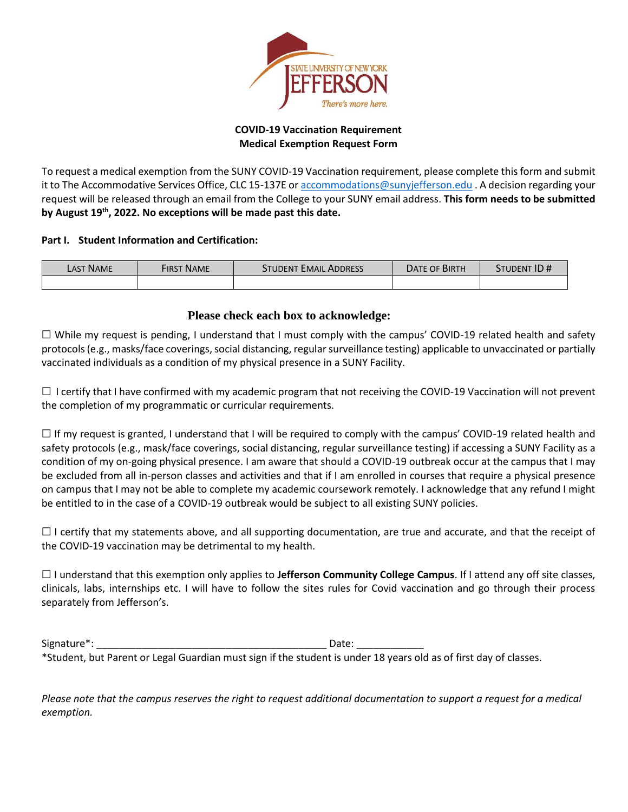

## **COVID-19 Vaccination Requirement Medical Exemption Request Form**

To request a medical exemption from the SUNY COVID-19 Vaccination requirement, please complete this form and submit it to The Accommodative Services Office, CLC 15-137E o[r accommodations@sunyjefferson.edu](mailto:accommodations@sunyjefferson.edu) . A decision regarding your request will be released through an email from the College to your SUNY email address. **This form needs to be submitted by August 19th, 2022. No exceptions will be made past this date.**

## **Part I. Student Information and Certification:**

| <b>LAST NAME</b> | FIRST NAME | STUDENT EMAIL ADDRESS | DATE OF BIRTH | STUDENT ID # |
|------------------|------------|-----------------------|---------------|--------------|
|                  |            |                       |               |              |

# **Please check each box to acknowledge:**

☐ While my request is pending, I understand that I must comply with the campus' COVID-19 related health and safety protocols (e.g., masks/face coverings, social distancing, regular surveillance testing) applicable to unvaccinated or partially vaccinated individuals as a condition of my physical presence in a SUNY Facility.

 $\Box$  I certify that I have confirmed with my academic program that not receiving the COVID-19 Vaccination will not prevent the completion of my programmatic or curricular requirements.

 $\Box$  If my request is granted, I understand that I will be required to comply with the campus' COVID-19 related health and safety protocols (e.g., mask/face coverings, social distancing, regular surveillance testing) if accessing a SUNY Facility as a condition of my on-going physical presence. I am aware that should a COVID-19 outbreak occur at the campus that I may be excluded from all in-person classes and activities and that if I am enrolled in courses that require a physical presence on campus that I may not be able to complete my academic coursework remotely. I acknowledge that any refund I might be entitled to in the case of a COVID-19 outbreak would be subject to all existing SUNY policies.

 $\Box$  I certify that my statements above, and all supporting documentation, are true and accurate, and that the receipt of the COVID-19 vaccination may be detrimental to my health.

☐ I understand that this exemption only applies to **Jefferson Community College Campus**. If I attend any off site classes, clinicals, labs, internships etc. I will have to follow the sites rules for Covid vaccination and go through their process separately from Jefferson's.

Signature<sup>\*</sup>: etc. and the set of the set of the set of the set of the set of the set of the set of the set of the set of the set of the set of the set of the set of the set of the set of the set of the set of the set of t \*Student, but Parent or Legal Guardian must sign if the student is under 18 years old as of first day of classes.

*Please note that the campus reserves the right to request additional documentation to support a request for a medical exemption.*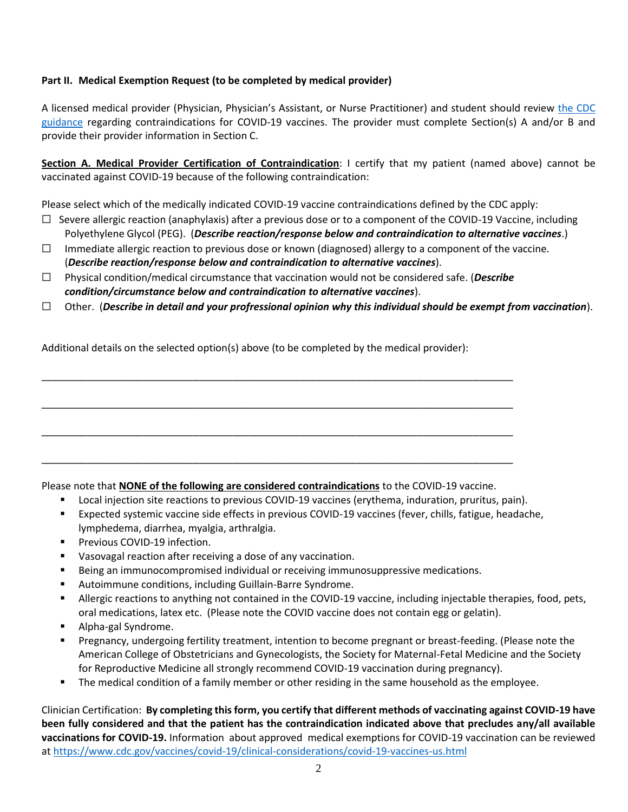## **Part II. Medical Exemption Request (to be completed by medical provider)**

A licensed medical provider (Physician, Physician's Assistant, or Nurse Practitioner) and student should review [the CDC](https://www.cdc.gov/vaccines/covid-19/clinical-considerations/covid-19-vaccines-us.html)  [guidance](https://www.cdc.gov/vaccines/covid-19/clinical-considerations/covid-19-vaccines-us.html) regarding contraindications for COVID-19 vaccines. The provider must complete Section(s) A and/or B and provide their provider information in Section C.

**Section A. Medical Provider Certification of Contraindication**: I certify that my patient (named above) cannot be vaccinated against COVID-19 because of the following contraindication:

Please select which of the medically indicated COVID-19 vaccine contraindications defined by the CDC apply:

- $\Box$  Severe allergic reaction (anaphylaxis) after a previous dose or to a component of the COVID-19 Vaccine, including Polyethylene Glycol (PEG). (*Describe reaction/response below and contraindication to alternative vaccines*.)
- $\Box$  Immediate allergic reaction to previous dose or known (diagnosed) allergy to a component of the vaccine. (*Describe reaction/response below and contraindication to alternative vaccines*).
- ☐ Physical condition/medical circumstance that vaccination would not be considered safe. (*Describe condition/circumstance below and contraindication to alternative vaccines*).

\_\_\_\_\_\_\_\_\_\_\_\_\_\_\_\_\_\_\_\_\_\_\_\_\_\_\_\_\_\_\_\_\_\_\_\_\_\_\_\_\_\_\_\_\_\_\_\_\_\_\_\_\_\_\_\_\_\_\_\_\_\_\_\_\_\_\_\_\_\_\_\_\_\_\_\_\_\_\_\_\_\_\_\_

\_\_\_\_\_\_\_\_\_\_\_\_\_\_\_\_\_\_\_\_\_\_\_\_\_\_\_\_\_\_\_\_\_\_\_\_\_\_\_\_\_\_\_\_\_\_\_\_\_\_\_\_\_\_\_\_\_\_\_\_\_\_\_\_\_\_\_\_\_\_\_\_\_\_\_\_\_\_\_\_\_\_\_\_

\_\_\_\_\_\_\_\_\_\_\_\_\_\_\_\_\_\_\_\_\_\_\_\_\_\_\_\_\_\_\_\_\_\_\_\_\_\_\_\_\_\_\_\_\_\_\_\_\_\_\_\_\_\_\_\_\_\_\_\_\_\_\_\_\_\_\_\_\_\_\_\_\_\_\_\_\_\_\_\_\_\_\_\_

\_\_\_\_\_\_\_\_\_\_\_\_\_\_\_\_\_\_\_\_\_\_\_\_\_\_\_\_\_\_\_\_\_\_\_\_\_\_\_\_\_\_\_\_\_\_\_\_\_\_\_\_\_\_\_\_\_\_\_\_\_\_\_\_\_\_\_\_\_\_\_\_\_\_\_\_\_\_\_\_\_\_\_\_

☐ Other. (*Describe in detail and your profressional opinion why this individual should be exempt from vaccination*).

Additional details on the selected option(s) above (to be completed by the medical provider):

Please note that **NONE of the following are considered contraindications** to the COVID-19 vaccine.

- Local injection site reactions to previous COVID-19 vaccines (erythema, induration, pruritus, pain).
- Expected systemic vaccine side effects in previous COVID-19 vaccines (fever, chills, fatigue, headache, lymphedema, diarrhea, myalgia, arthralgia.
- Previous COVID-19 infection.
- Vasovagal reaction after receiving a dose of any vaccination.
- **EXECT** Being an immunocompromised individual or receiving immunosuppressive medications.
- Autoimmune conditions, including Guillain-Barre Syndrome.
- Allergic reactions to anything not contained in the COVID-19 vaccine, including injectable therapies, food, pets, oral medications, latex etc. (Please note the COVID vaccine does not contain egg or gelatin).
- Alpha-gal Syndrome.
- Pregnancy, undergoing fertility treatment, intention to become pregnant or breast-feeding. (Please note the American College of Obstetricians and Gynecologists, the Society for Maternal-Fetal Medicine and the Society for Reproductive Medicine all strongly recommend COVID-19 vaccination during pregnancy).
- **•** The medical condition of a family member or other residing in the same household as the employee.

Clinician Certification: **By completing this form, you certify that different methods of vaccinating against COVID-19 have been fully considered and that the patient has the contraindication indicated above that precludes any/all available vaccinations for COVID-19.** Information about approved medical exemptions for COVID-19 vaccination can be reviewed at<https://www.cdc.gov/vaccines/covid-19/clinical-considerations/covid-19-vaccines-us.html>